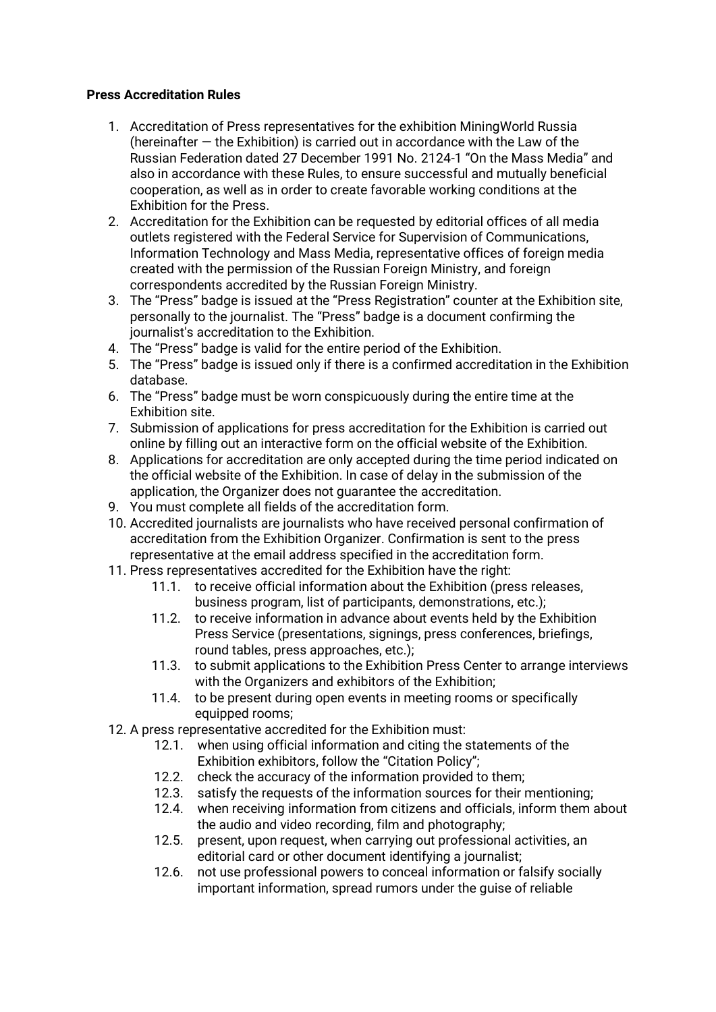## **Press Accreditation Rules**

- 1. Accreditation of Press representatives for the exhibition MiningWorld Russia (hereinafter — the Exhibition) is carried out in accordance with the Law of the Russian Federation dated 27 December 1991 No. 2124-1 "On the Mass Media" and also in accordance with these Rules, to ensure successful and mutually beneficial cooperation, as well as in order to create favorable working conditions at the Exhibition for the Press.
- 2. Accreditation for the Exhibition can be requested by editorial offices of all media outlets registered with the Federal Service for Supervision of Communications, Information Technology and Mass Media, representative offices of foreign media created with the permission of the Russian Foreign Ministry, and foreign correspondents accredited by the Russian Foreign Ministry.
- 3. The "Press" badge is issued at the "Press Registration" counter at the Exhibition site, personally to the journalist. The "Press" badge is a document confirming the journalist's accreditation to the Exhibition.
- 4. The "Press" badge is valid for the entire period of the Exhibition.
- 5. The "Press" badge is issued only if there is a confirmed accreditation in the Exhibition database.
- 6. The "Press" badge must be worn conspicuously during the entire time at the Exhibition site.
- 7. Submission of applications for press accreditation for the Exhibition is carried out online by filling out an interactive form on the official website of the Exhibition.
- 8. Applications for accreditation are only accepted during the time period indicated on the official website of the Exhibition. In case of delay in the submission of the application, the Organizer does not guarantee the accreditation.
- 9. You must complete all fields of the accreditation form.
- 10. Accredited journalists are journalists who have received personal confirmation of accreditation from the Exhibition Organizer. Confirmation is sent to the press representative at the email address specified in the accreditation form.
- 11. Press representatives accredited for the Exhibition have the right:
	- 11.1. to receive official information about the Exhibition (press releases, business program, list of participants, demonstrations, etc.);
	- 11.2. to receive information in advance about events held by the Exhibition Press Service (presentations, signings, press conferences, briefings, round tables, press approaches, etc.);
	- 11.3. to submit applications to the Exhibition Press Center to arrange interviews with the Organizers and exhibitors of the Exhibition:
	- 11.4. to be present during open events in meeting rooms or specifically equipped rooms;
- 12. A press representative accredited for the Exhibition must:
	- 12.1. when using official information and citing the statements of the Exhibition exhibitors, follow the "Citation Policy";
	- 12.2. check the accuracy of the information provided to them;
	- 12.3. satisfy the requests of the information sources for their mentioning;
	- 12.4. when receiving information from citizens and officials, inform them about the audio and video recording, film and photography;
	- 12.5. present, upon request, when carrying out professional activities, an editorial card or other document identifying a journalist;
	- 12.6. not use professional powers to conceal information or falsify socially important information, spread rumors under the guise of reliable